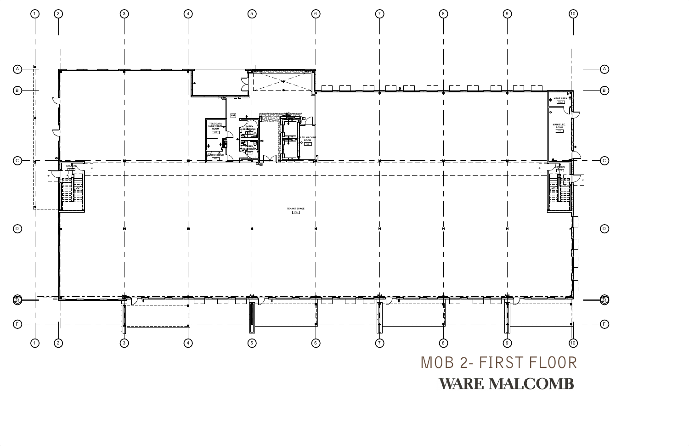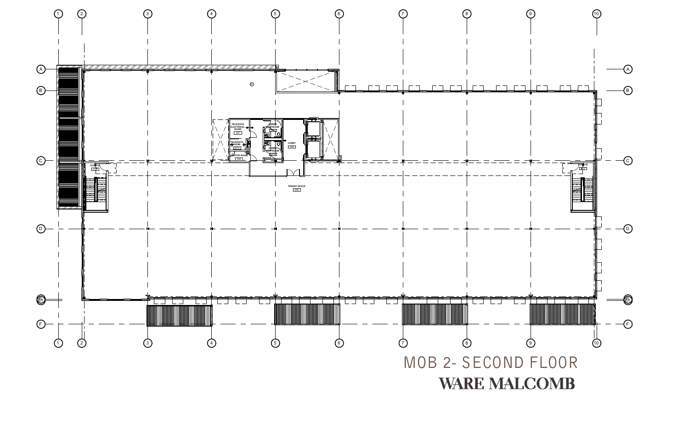